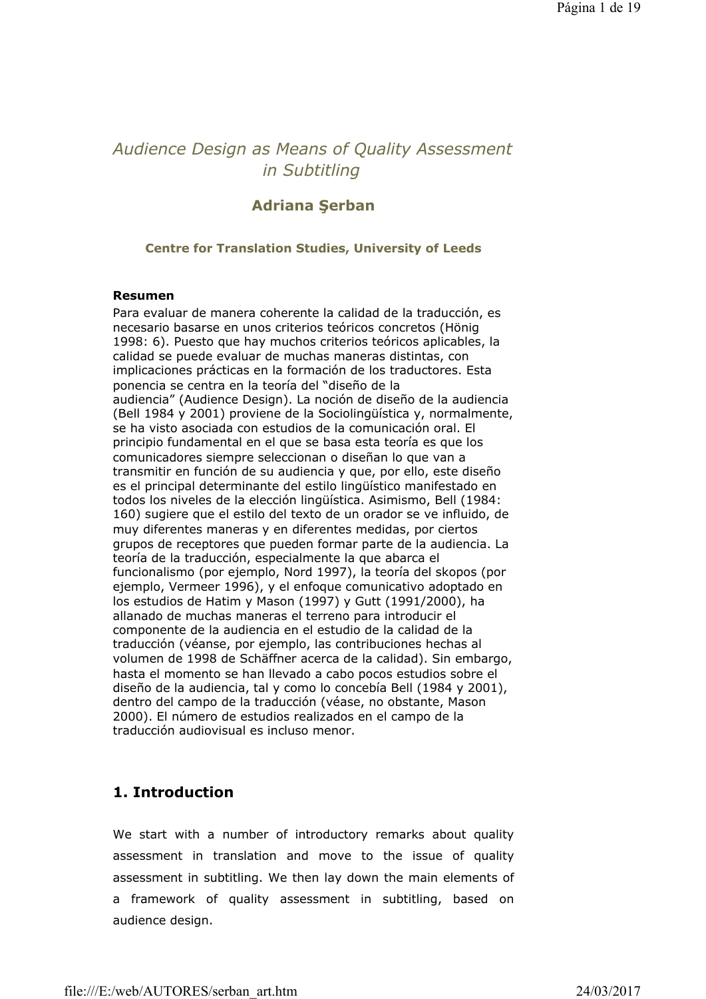# *Audience Design as Means of Quality Assessment in Subtitling*

## **Adriana Şerban**

#### **Centre for Translation Studies, University of Leeds**

#### **Resumen**

Para evaluar de manera coherente la calidad de la traducción, es necesario basarse en unos criterios teóricos concretos (Hönig 1998: 6). Puesto que hay muchos criterios teóricos aplicables, la calidad se puede evaluar de muchas maneras distintas, con implicaciones prácticas en la formación de los traductores. Esta ponencia se centra en la teoría del "diseño de la audiencia" (Audience Design). La noción de diseño de la audiencia (Bell 1984 y 2001) proviene de la Sociolingüística y, normalmente, se ha visto asociada con estudios de la comunicación oral. El principio fundamental en el que se basa esta teoría es que los comunicadores siempre seleccionan o diseñan lo que van a transmitir en función de su audiencia y que, por ello, este diseño es el principal determinante del estilo lingüístico manifestado en todos los niveles de la elección lingüística. Asimismo, Bell (1984: 160) sugiere que el estilo del texto de un orador se ve influido, de muy diferentes maneras y en diferentes medidas, por ciertos grupos de receptores que pueden formar parte de la audiencia. La teoría de la traducción, especialmente la que abarca el funcionalismo (por ejemplo, Nord 1997), la teoría del skopos (por ejemplo, Vermeer 1996), y el enfoque comunicativo adoptado en los estudios de Hatim y Mason (1997) y Gutt (1991/2000), ha allanado de muchas maneras el terreno para introducir el componente de la audiencia en el estudio de la calidad de la traducción (véanse, por ejemplo, las contribuciones hechas al volumen de 1998 de Schäffner acerca de la calidad). Sin embargo, hasta el momento se han llevado a cabo pocos estudios sobre el diseño de la audiencia, tal y como lo concebía Bell (1984 y 2001), dentro del campo de la traducción (véase, no obstante, Mason 2000). El número de estudios realizados en el campo de la traducción audiovisual es incluso menor.

## **1. Introduction**

We start with a number of introductory remarks about quality assessment in translation and move to the issue of quality assessment in subtitling. We then lay down the main elements of a framework of quality assessment in subtitling, based on audience design.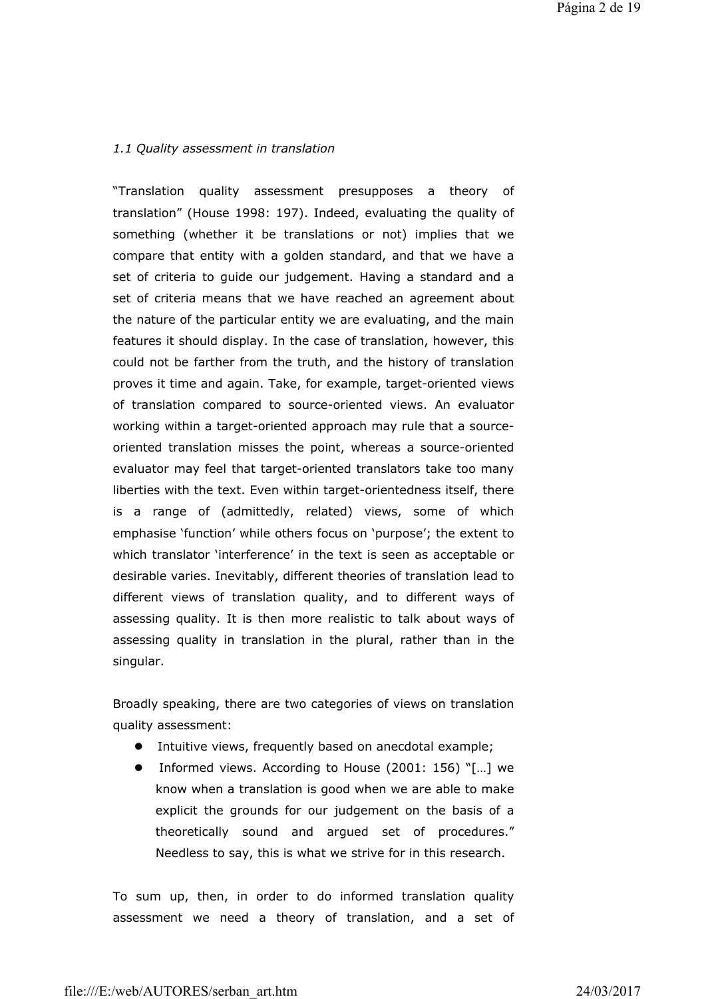### *1.1 Quality assessment in translation*

"Translation quality assessment presupposes a theory of translation" (House 1998: 197). Indeed, evaluating the quality of something (whether it be translations or not) implies that we compare that entity with a golden standard, and that we have a set of criteria to guide our judgement. Having a standard and a set of criteria means that we have reached an agreement about the nature of the particular entity we are evaluating, and the main features it should display. In the case of translation, however, this could not be farther from the truth, and the history of translation proves it time and again. Take, for example, target-oriented views of translation compared to source-oriented views. An evaluator working within a target-oriented approach may rule that a sourceoriented translation misses the point, whereas a source-oriented evaluator may feel that target-oriented translators take too many liberties with the text. Even within target-orientedness itself, there is a range of (admittedly, related) views, some of which emphasise 'function' while others focus on 'purpose'; the extent to which translator 'interference' in the text is seen as acceptable or desirable varies. Inevitably, different theories of translation lead to different views of translation quality, and to different ways of assessing quality. It is then more realistic to talk about ways of assessing quality in translation in the plural, rather than in the singular.

Broadly speaking, there are two categories of views on translation quality assessment:

- $\bullet$  Intuitive views, frequently based on anecdotal example;
- Informed views. According to House (2001: 156) "[...] we know when a translation is good when we are able to make explicit the grounds for our judgement on the basis of a theoretically sound and argued set of procedures." Needless to say, this is what we strive for in this research.

To sum up, then, in order to do informed translation quality assessment we need a theory of translation, and a set of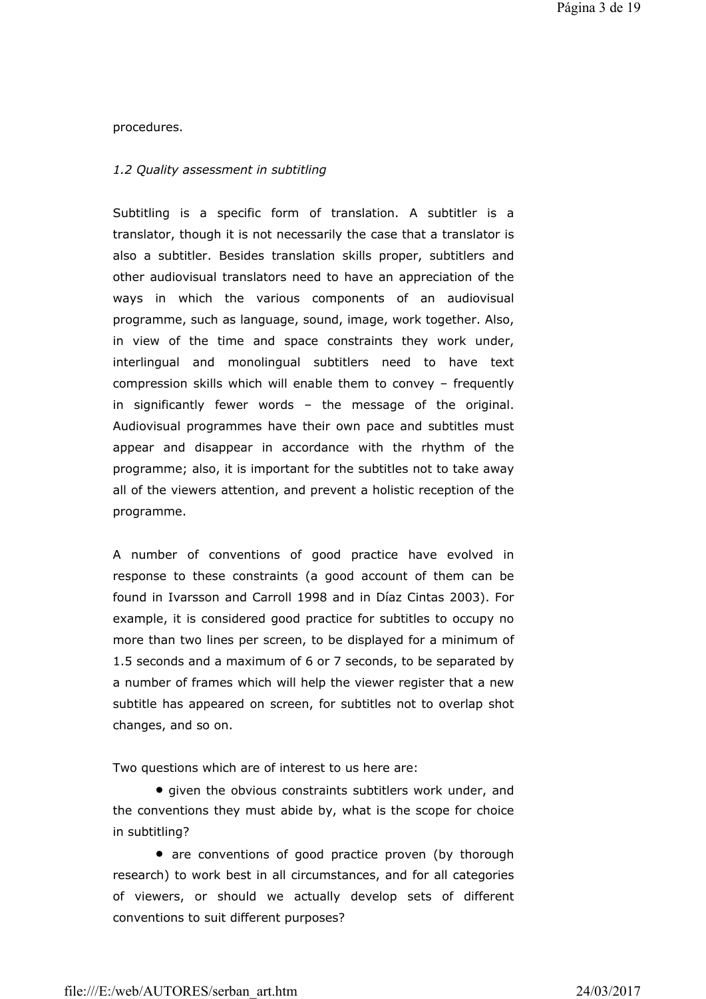procedures.

#### *1.2 Quality assessment in subtitling*

Subtitling is a specific form of translation. A subtitler is a translator, though it is not necessarily the case that a translator is also a subtitler. Besides translation skills proper, subtitlers and other audiovisual translators need to have an appreciation of the ways in which the various components of an audiovisual programme, such as language, sound, image, work together. Also, in view of the time and space constraints they work under, interlingual and monolingual subtitlers need to have text compression skills which will enable them to convey – frequently in significantly fewer words – the message of the original. Audiovisual programmes have their own pace and subtitles must appear and disappear in accordance with the rhythm of the programme; also, it is important for the subtitles not to take away all of the viewers attention, and prevent a holistic reception of the programme.

A number of conventions of good practice have evolved in response to these constraints (a good account of them can be found in Ivarsson and Carroll 1998 and in Díaz Cintas 2003). For example, it is considered good practice for subtitles to occupy no more than two lines per screen, to be displayed for a minimum of 1.5 seconds and a maximum of 6 or 7 seconds, to be separated by a number of frames which will help the viewer register that a new subtitle has appeared on screen, for subtitles not to overlap shot changes, and so on.

Two questions which are of interest to us here are:

• given the obvious constraints subtitlers work under, and the conventions they must abide by, what is the scope for choice in subtitling?

• are conventions of good practice proven (by thorough research) to work best in all circumstances, and for all categories of viewers, or should we actually develop sets of different conventions to suit different purposes?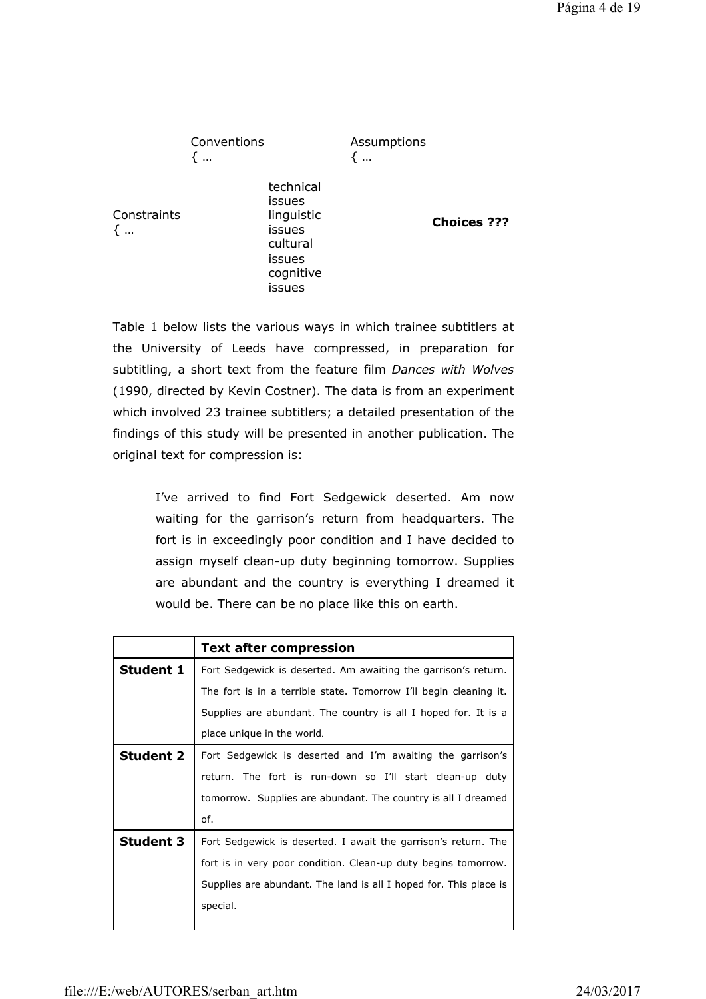Conventions { … Assumptions { … technical issues **Constraints** linguistic Impulsue<br>issues **Choices ???** cultural issues cognitive issues

{ …

Table 1 below lists the various ways in which trainee subtitlers at the University of Leeds have compressed, in preparation for subtitling, a short text from the feature film *Dances with Wolves*  (1990, directed by Kevin Costner). The data is from an experiment which involved 23 trainee subtitlers; a detailed presentation of the findings of this study will be presented in another publication. The original text for compression is:

> I've arrived to find Fort Sedgewick deserted. Am now waiting for the garrison's return from headquarters. The fort is in exceedingly poor condition and I have decided to assign myself clean-up duty beginning tomorrow. Supplies are abundant and the country is everything I dreamed it would be. There can be no place like this on earth.

|                  | <b>Text after compression</b>                                     |  |  |  |
|------------------|-------------------------------------------------------------------|--|--|--|
| <b>Student 1</b> | Fort Sedgewick is deserted. Am awaiting the garrison's return.    |  |  |  |
|                  | The fort is in a terrible state. Tomorrow I'll begin cleaning it. |  |  |  |
|                  | Supplies are abundant. The country is all I hoped for. It is a    |  |  |  |
|                  | place unique in the world.                                        |  |  |  |
| <b>Student 2</b> | Fort Sedgewick is deserted and I'm awaiting the garrison's        |  |  |  |
|                  | return. The fort is run-down so I'll start clean-up duty          |  |  |  |
|                  | tomorrow. Supplies are abundant. The country is all I dreamed     |  |  |  |
|                  | of.                                                               |  |  |  |
| <b>Student 3</b> | Fort Sedgewick is deserted. I await the garrison's return. The    |  |  |  |
|                  | fort is in very poor condition. Clean-up duty begins tomorrow.    |  |  |  |
|                  | Supplies are abundant. The land is all I hoped for. This place is |  |  |  |
|                  | special.                                                          |  |  |  |
|                  |                                                                   |  |  |  |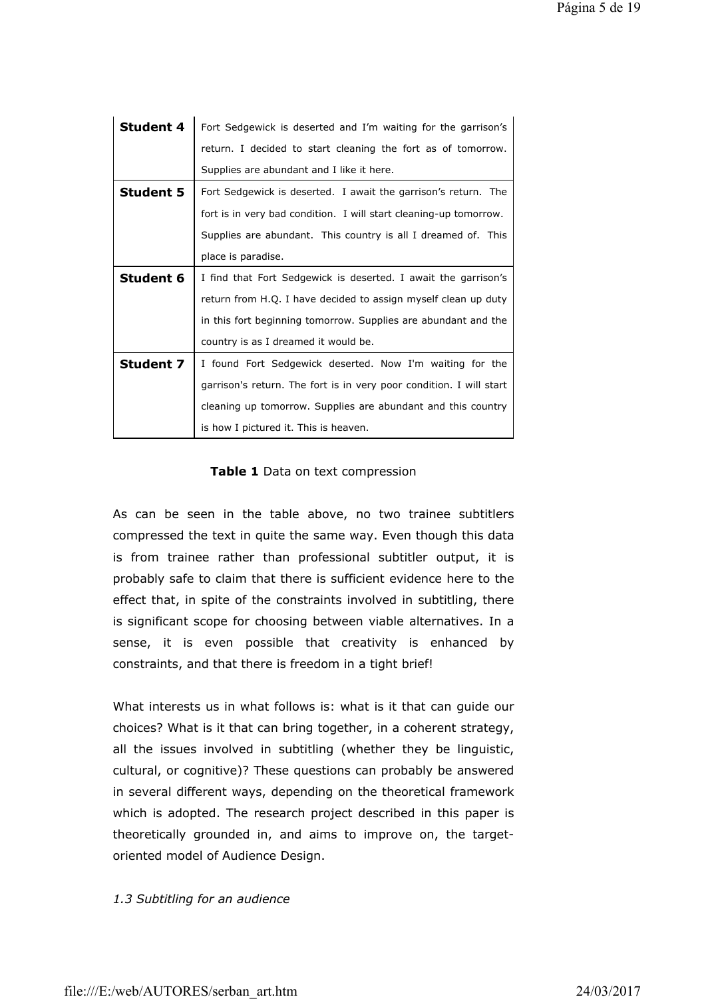| <b>Student 4</b> | Fort Sedgewick is deserted and I'm waiting for the garrison's       |  |  |  |
|------------------|---------------------------------------------------------------------|--|--|--|
|                  | return. I decided to start cleaning the fort as of tomorrow.        |  |  |  |
|                  | Supplies are abundant and I like it here.                           |  |  |  |
| <b>Student 5</b> | Fort Sedgewick is deserted. I await the garrison's return. The      |  |  |  |
|                  | fort is in very bad condition. I will start cleaning-up tomorrow.   |  |  |  |
|                  | Supplies are abundant. This country is all I dreamed of. This       |  |  |  |
|                  | place is paradise.                                                  |  |  |  |
| <b>Student 6</b> | I find that Fort Sedgewick is deserted. I await the garrison's      |  |  |  |
|                  | return from H.Q. I have decided to assign myself clean up duty      |  |  |  |
|                  | in this fort beginning tomorrow. Supplies are abundant and the      |  |  |  |
|                  | country is as I dreamed it would be.                                |  |  |  |
| <b>Student 7</b> | I found Fort Sedgewick deserted. Now I'm waiting for the            |  |  |  |
|                  | garrison's return. The fort is in very poor condition. I will start |  |  |  |
|                  | cleaning up tomorrow. Supplies are abundant and this country        |  |  |  |
|                  | is how I pictured it. This is heaven.                               |  |  |  |

### **Table 1** Data on text compression

As can be seen in the table above, no two trainee subtitlers compressed the text in quite the same way. Even though this data is from trainee rather than professional subtitler output, it is probably safe to claim that there is sufficient evidence here to the effect that, in spite of the constraints involved in subtitling, there is significant scope for choosing between viable alternatives. In a sense, it is even possible that creativity is enhanced by constraints, and that there is freedom in a tight brief!

What interests us in what follows is: what is it that can guide our choices? What is it that can bring together, in a coherent strategy, all the issues involved in subtitling (whether they be linguistic, cultural, or cognitive)? These questions can probably be answered in several different ways, depending on the theoretical framework which is adopted. The research project described in this paper is theoretically grounded in, and aims to improve on, the targetoriented model of Audience Design.

### *1.3 Subtitling for an audience*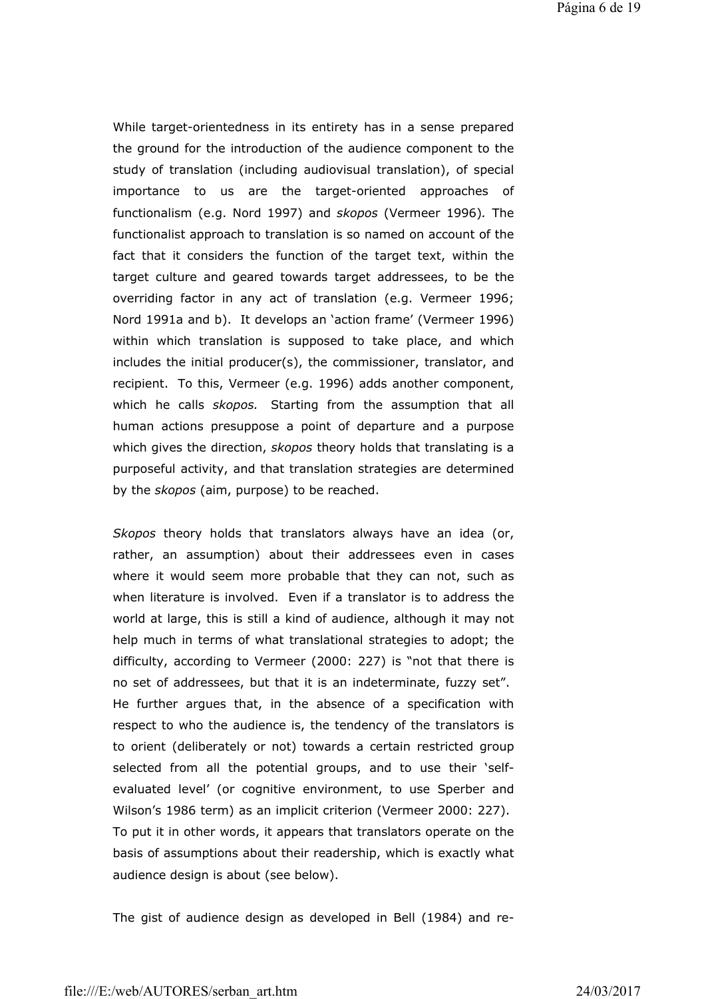While target-orientedness in its entirety has in a sense prepared the ground for the introduction of the audience component to the study of translation (including audiovisual translation), of special importance to us are the target-oriented approaches of functionalism (e.g. Nord 1997) and *skopos* (Vermeer 1996)*.* The functionalist approach to translation is so named on account of the fact that it considers the function of the target text, within the target culture and geared towards target addressees, to be the overriding factor in any act of translation (e.g. Vermeer 1996; Nord 1991a and b). It develops an 'action frame' (Vermeer 1996) within which translation is supposed to take place, and which includes the initial producer(s), the commissioner, translator, and recipient. To this, Vermeer (e.g. 1996) adds another component, which he calls *skopos.* Starting from the assumption that all human actions presuppose a point of departure and a purpose which gives the direction, *skopos* theory holds that translating is a purposeful activity, and that translation strategies are determined by the *skopos* (aim, purpose) to be reached.

*Skopos* theory holds that translators always have an idea (or, rather, an assumption) about their addressees even in cases where it would seem more probable that they can not, such as when literature is involved. Even if a translator is to address the world at large, this is still a kind of audience, although it may not help much in terms of what translational strategies to adopt; the difficulty, according to Vermeer (2000: 227) is "not that there is no set of addressees, but that it is an indeterminate, fuzzy set". He further argues that, in the absence of a specification with respect to who the audience is, the tendency of the translators is to orient (deliberately or not) towards a certain restricted group selected from all the potential groups, and to use their 'selfevaluated level' (or cognitive environment, to use Sperber and Wilson's 1986 term) as an implicit criterion (Vermeer 2000: 227). To put it in other words, it appears that translators operate on the basis of assumptions about their readership, which is exactly what audience design is about (see below).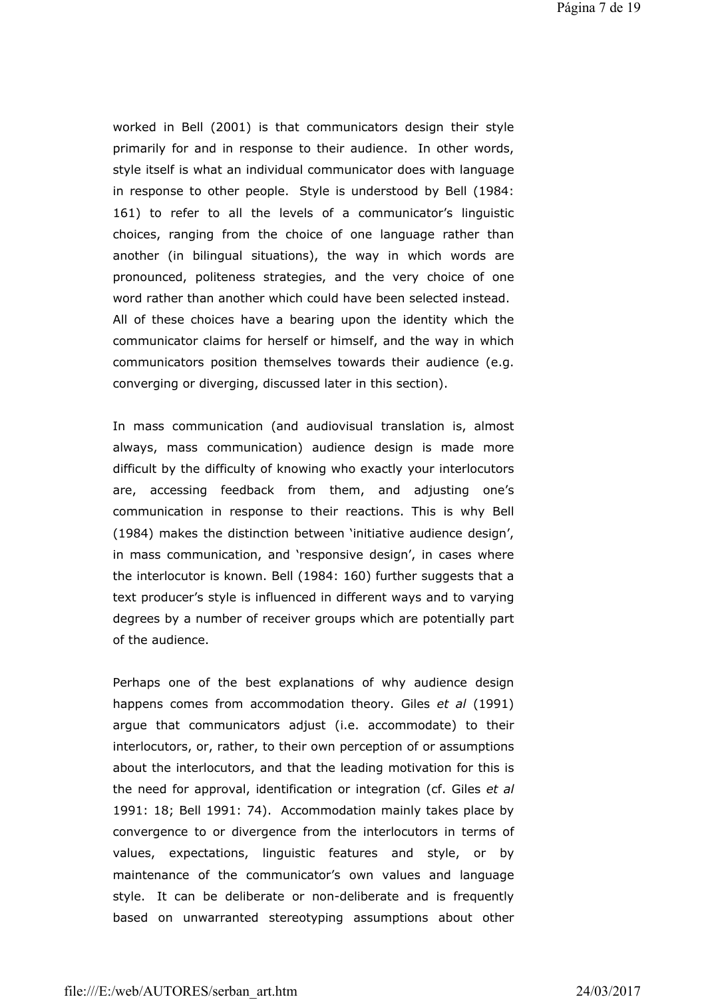Página 7 de 19

worked in Bell (2001) is that communicators design their style primarily for and in response to their audience. In other words, style itself is what an individual communicator does with language in response to other people. Style is understood by Bell (1984: 161) to refer to all the levels of a communicator's linguistic choices, ranging from the choice of one language rather than another (in bilingual situations), the way in which words are pronounced, politeness strategies, and the very choice of one word rather than another which could have been selected instead. All of these choices have a bearing upon the identity which the communicator claims for herself or himself, and the way in which communicators position themselves towards their audience (e.g. converging or diverging, discussed later in this section).

In mass communication (and audiovisual translation is, almost always, mass communication) audience design is made more difficult by the difficulty of knowing who exactly your interlocutors are, accessing feedback from them, and adjusting one's communication in response to their reactions. This is why Bell (1984) makes the distinction between 'initiative audience design', in mass communication, and 'responsive design', in cases where the interlocutor is known. Bell (1984: 160) further suggests that a text producer's style is influenced in different ways and to varying degrees by a number of receiver groups which are potentially part of the audience.

Perhaps one of the best explanations of why audience design happens comes from accommodation theory. Giles *et al* (1991) argue that communicators adjust (i.e. accommodate) to their interlocutors, or, rather, to their own perception of or assumptions about the interlocutors, and that the leading motivation for this is the need for approval, identification or integration (cf. Giles *et al* 1991: 18; Bell 1991: 74). Accommodation mainly takes place by convergence to or divergence from the interlocutors in terms of values, expectations, linguistic features and style, or by maintenance of the communicator's own values and language style. It can be deliberate or non-deliberate and is frequently based on unwarranted stereotyping assumptions about other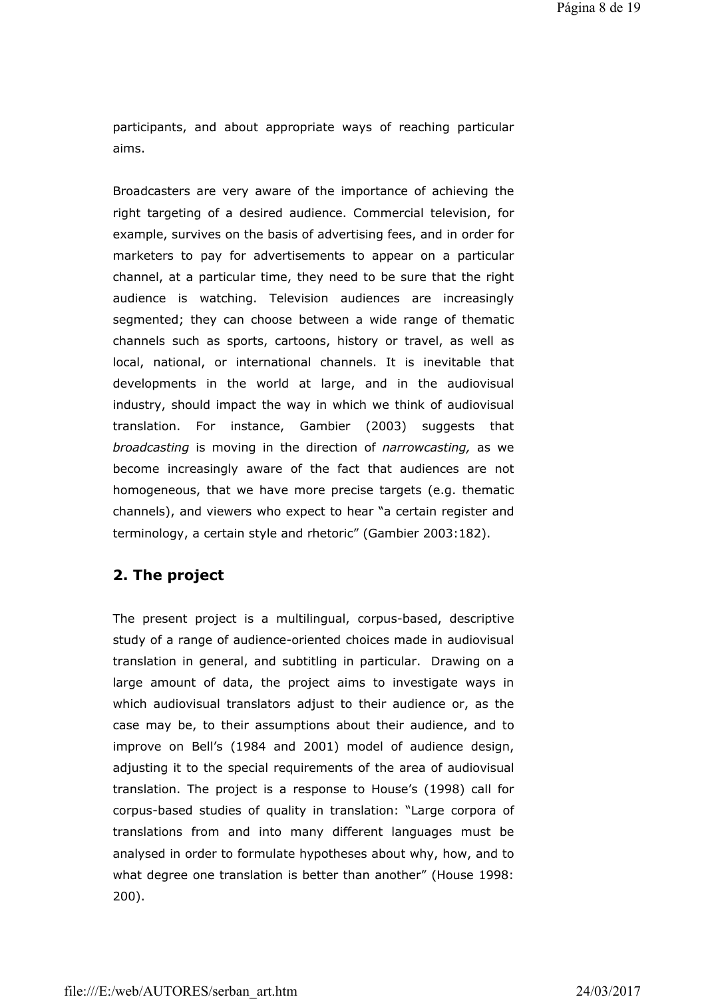participants, and about appropriate ways of reaching particular aims.

Broadcasters are very aware of the importance of achieving the right targeting of a desired audience. Commercial television, for example, survives on the basis of advertising fees, and in order for marketers to pay for advertisements to appear on a particular channel, at a particular time, they need to be sure that the right audience is watching. Television audiences are increasingly segmented; they can choose between a wide range of thematic channels such as sports, cartoons, history or travel, as well as local, national, or international channels. It is inevitable that developments in the world at large, and in the audiovisual industry, should impact the way in which we think of audiovisual translation. For instance, Gambier (2003) suggests that *broadcasting* is moving in the direction of *narrowcasting,* as we become increasingly aware of the fact that audiences are not homogeneous, that we have more precise targets (e.g. thematic channels), and viewers who expect to hear "a certain register and terminology, a certain style and rhetoric" (Gambier 2003:182).

## **2. The project**

The present project is a multilingual, corpus-based, descriptive study of a range of audience-oriented choices made in audiovisual translation in general, and subtitling in particular. Drawing on a large amount of data, the project aims to investigate ways in which audiovisual translators adjust to their audience or, as the case may be, to their assumptions about their audience, and to improve on Bell's (1984 and 2001) model of audience design, adjusting it to the special requirements of the area of audiovisual translation. The project is a response to House's (1998) call for corpus-based studies of quality in translation: "Large corpora of translations from and into many different languages must be analysed in order to formulate hypotheses about why, how, and to what degree one translation is better than another" (House 1998: 200).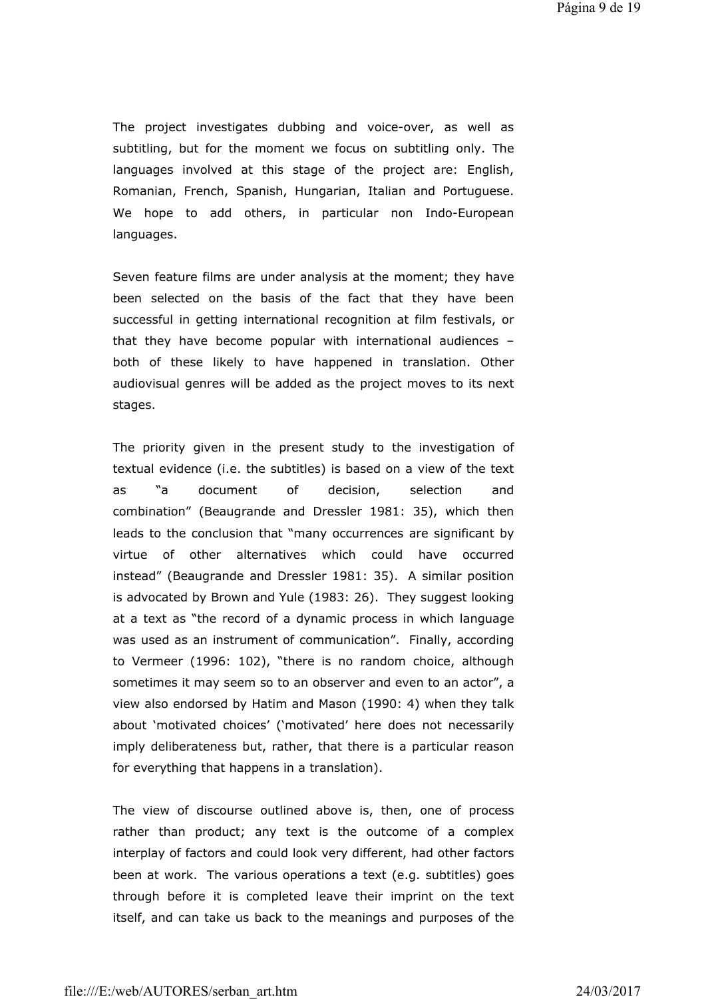The project investigates dubbing and voice-over, as well as subtitling, but for the moment we focus on subtitling only. The languages involved at this stage of the project are: English, Romanian, French, Spanish, Hungarian, Italian and Portuguese. We hope to add others, in particular non Indo-European languages.

Seven feature films are under analysis at the moment; they have been selected on the basis of the fact that they have been successful in getting international recognition at film festivals, or that they have become popular with international audiences – both of these likely to have happened in translation. Other audiovisual genres will be added as the project moves to its next stages.

The priority given in the present study to the investigation of textual evidence (i.e. the subtitles) is based on a view of the text as "a document of decision, selection and combination" (Beaugrande and Dressler 1981: 35), which then leads to the conclusion that "many occurrences are significant by virtue of other alternatives which could have occurred instead" (Beaugrande and Dressler 1981: 35). A similar position is advocated by Brown and Yule (1983: 26). They suggest looking at a text as "the record of a dynamic process in which language was used as an instrument of communication". Finally, according to Vermeer (1996: 102), "there is no random choice, although sometimes it may seem so to an observer and even to an actor", a view also endorsed by Hatim and Mason (1990: 4) when they talk about 'motivated choices' ('motivated' here does not necessarily imply deliberateness but, rather, that there is a particular reason for everything that happens in a translation).

The view of discourse outlined above is, then, one of process rather than product; any text is the outcome of a complex interplay of factors and could look very different, had other factors been at work. The various operations a text (e.g. subtitles) goes through before it is completed leave their imprint on the text itself, and can take us back to the meanings and purposes of the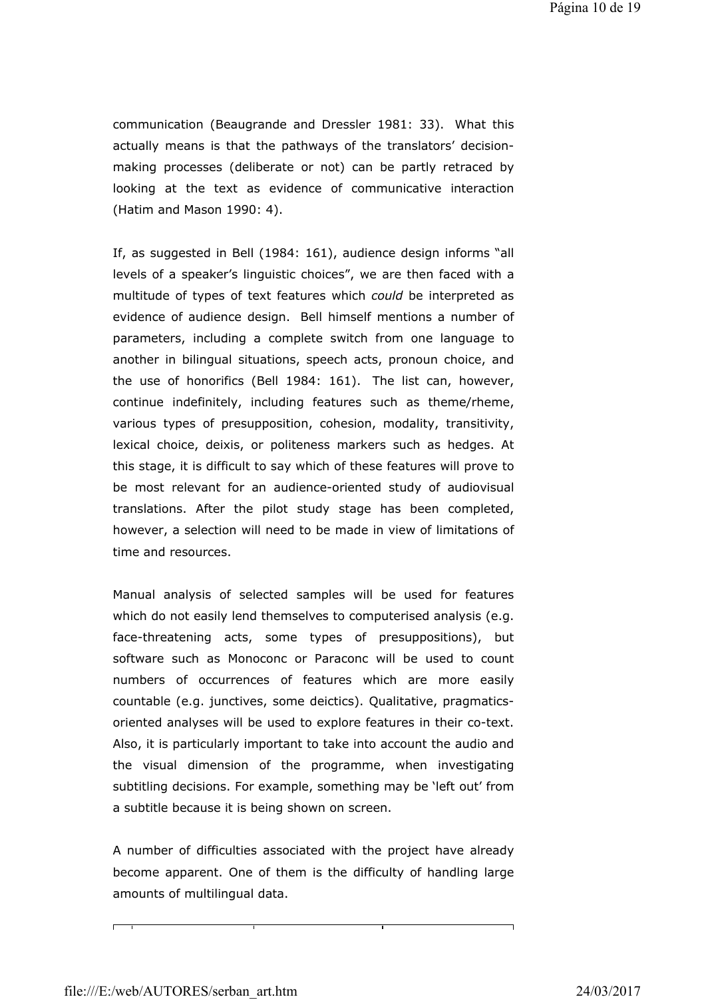communication (Beaugrande and Dressler 1981: 33). What this actually means is that the pathways of the translators' decisionmaking processes (deliberate or not) can be partly retraced by looking at the text as evidence of communicative interaction (Hatim and Mason 1990: 4).

If, as suggested in Bell (1984: 161), audience design informs "all levels of a speaker's linguistic choices", we are then faced with a multitude of types of text features which *could* be interpreted as evidence of audience design. Bell himself mentions a number of parameters, including a complete switch from one language to another in bilingual situations, speech acts, pronoun choice, and the use of honorifics (Bell 1984: 161). The list can, however, continue indefinitely, including features such as theme/rheme, various types of presupposition, cohesion, modality, transitivity, lexical choice, deixis, or politeness markers such as hedges. At this stage, it is difficult to say which of these features will prove to be most relevant for an audience-oriented study of audiovisual translations. After the pilot study stage has been completed, however, a selection will need to be made in view of limitations of time and resources.

Manual analysis of selected samples will be used for features which do not easily lend themselves to computerised analysis (e.g. face-threatening acts, some types of presuppositions), but software such as Monoconc or Paraconc will be used to count numbers of occurrences of features which are more easily countable (e.g. junctives, some deictics). Qualitative, pragmaticsoriented analyses will be used to explore features in their co-text. Also, it is particularly important to take into account the audio and the visual dimension of the programme, when investigating subtitling decisions. For example, something may be 'left out' from a subtitle because it is being shown on screen.

A number of difficulties associated with the project have already become apparent. One of them is the difficulty of handling large amounts of multilingual data.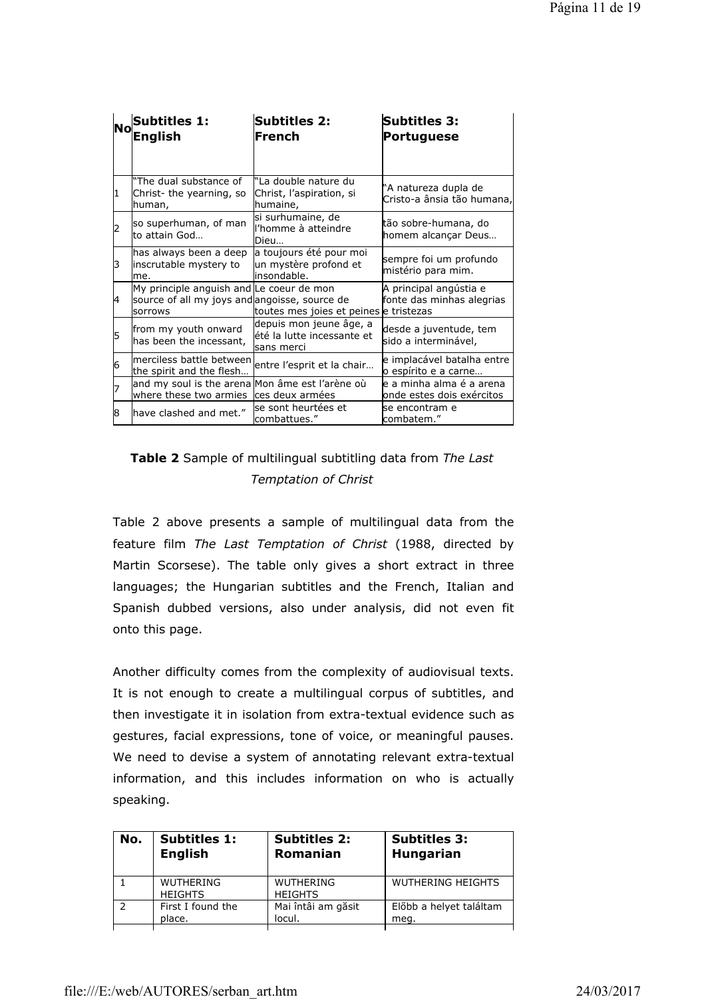| lΝo | <b>Subtitles 1:</b><br>English                                                                              | <b>Subtitles 2:</b><br>French                                        | <b>Subtitles 3:</b><br>Portuguese                      |
|-----|-------------------------------------------------------------------------------------------------------------|----------------------------------------------------------------------|--------------------------------------------------------|
|     | "The dual substance of                                                                                      | "La double nature du                                                 |                                                        |
| I1  | Christ- the yearning, so<br>human,                                                                          | Christ, l'aspiration, si<br>humaine,                                 | 'A natureza dupla de<br>Cristo-a ânsia tão humana,     |
| 2   | so superhuman, of man<br>lto attain God                                                                     | si surhumaine, de<br>l'homme à atteindre<br>Dieu                     | tão sobre-humana, do<br>homem alcançar Deus            |
| l3  | has always been a deep<br>inscrutable mystery to<br>lme.                                                    | a toujours été pour moi<br>un mystère profond et<br>insondable.      | sempre foi um profundo<br>mistério para mim.           |
| 14  | My principle anguish and Le coeur de mon<br>source of all my joys and angoisse, source de<br><b>sorrows</b> | toutes mes joies et peines e tristezas                               | A principal angústia e<br>fonte das minhas alegrias    |
| 5   | from my youth onward<br>has been the incessant,                                                             | depuis mon jeune âge, a<br>lété la lutte incessante et<br>sans merci | desde a juventude, tem<br>sido a interminável,         |
| 6   | merciless battle between<br>the spirit and the flesh                                                        | entre l'esprit et la chair                                           | e implacável batalha entre<br>o espírito e a carne     |
|     | and my soul is the arena Mon âme est l'arène où<br>where these two armies                                   | ces deux armées                                                      | le a minha alma é a arena<br>onde estes dois exércitos |
| 8   | have clashed and met."                                                                                      | lse sont heurtées et<br>combattues."                                 | lse encontram e<br>combatem."                          |

# **Table 2** Sample of multilingual subtitling data from *The Last Temptation of Christ*

Table 2 above presents a sample of multilingual data from the feature film *The Last Temptation of Christ* (1988, directed by Martin Scorsese). The table only gives a short extract in three languages; the Hungarian subtitles and the French, Italian and Spanish dubbed versions, also under analysis, did not even fit onto this page.

Another difficulty comes from the complexity of audiovisual texts. It is not enough to create a multilingual corpus of subtitles, and then investigate it in isolation from extra-textual evidence such as gestures, facial expressions, tone of voice, or meaningful pauses. We need to devise a system of annotating relevant extra-textual information, and this includes information on who is actually speaking.

| No. | <b>Subtitles 1:</b>                | <b>Subtitles 2:</b>                | <b>Subtitles 3:</b>      |
|-----|------------------------------------|------------------------------------|--------------------------|
|     | <b>English</b>                     | Romanian                           | <b>Hungarian</b>         |
|     | <b>WUTHERING</b><br><b>HEIGHTS</b> | <b>WUTHERING</b><br><b>HEIGHTS</b> | <b>WUTHERING HEIGHTS</b> |
|     | First I found the                  | Mai întâi am găsit                 | Előbb a helyet találtam  |
|     | place.                             | locul.                             | meg.                     |
|     |                                    |                                    |                          |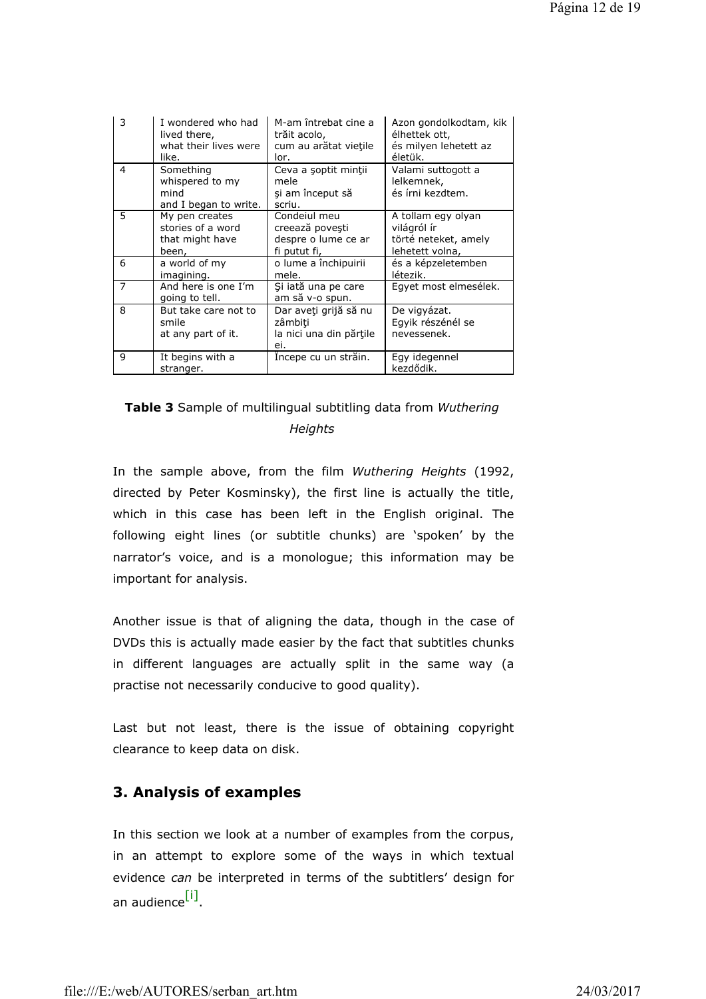| 3              | I wondered who had<br>lived there,<br>what their lives were<br>like. | M-am întrebat cine a<br>trăit acolo,<br>cum au arătat viețile<br>lor.  | Azon gondolkodtam, kik<br>élhettek ott,<br>és milyen lehetett az<br>életük.  |
|----------------|----------------------------------------------------------------------|------------------------------------------------------------------------|------------------------------------------------------------------------------|
| 4              | Something<br>whispered to my<br>mind<br>and I began to write.        | Ceva a soptit minții<br>mele<br>și am început să<br>scriu.             | Valami suttogott a<br>lelkemnek,<br>és írni kezdtem.                         |
| 5              | My pen creates<br>stories of a word<br>that might have<br>been,      | Condeiul meu<br>creează povești<br>despre o lume ce ar<br>fi putut fi, | A tollam egy olyan<br>világról ír<br>törté neteket, amely<br>lehetett volna, |
| 6              | a world of my<br>imagining.                                          | o lume a închipuirii<br>mele.                                          | és a képzeletemben<br>létezik.                                               |
| $\overline{7}$ | And here is one I'm<br>going to tell.                                | Și iată una pe care<br>am să v-o spun.                                 | Egyet most elmesélek.                                                        |
| 8              | But take care not to<br>smile<br>at any part of it.                  | Dar aveți grijă să nu<br>zâmbiti<br>la nici una din părțile<br>ei.     | De vigyázat.<br>Egyik részénél se<br>nevessenek.                             |
| 9              | It begins with a<br>stranger.                                        | Incepe cu un străin.                                                   | Egy idegennel<br>kezdődik.                                                   |

# **Table 3** Sample of multilingual subtitling data from *Wuthering Heights*

In the sample above, from the film *Wuthering Heights* (1992, directed by Peter Kosminsky), the first line is actually the title, which in this case has been left in the English original. The following eight lines (or subtitle chunks) are 'spoken' by the narrator's voice, and is a monologue; this information may be important for analysis.

Another issue is that of aligning the data, though in the case of DVDs this is actually made easier by the fact that subtitles chunks in different languages are actually split in the same way (a practise not necessarily conducive to good quality).

Last but not least, there is the issue of obtaining copyright clearance to keep data on disk.

# **3. Analysis of examples**

In this section we look at a number of examples from the corpus, in an attempt to explore some of the ways in which textual evidence *can* be interpreted in terms of the subtitlers' design for an audience<sup>[i]</sup>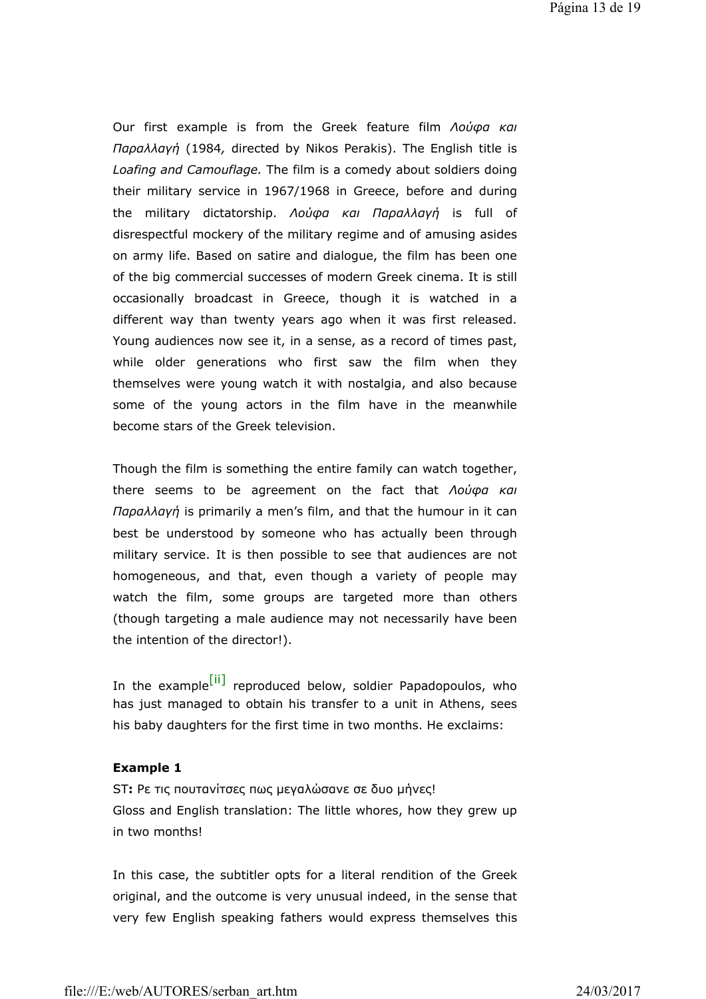Our first example is from the Greek feature film *Λούφα και Παραλλαγή* (1984*,* directed by Nikos Perakis). The English title is *Loafing and Camouflage.* The film is a comedy about soldiers doing their military service in 1967/1968 in Greece, before and during the military dictatorship. *Λούφα και Παραλλαγή* is full of disrespectful mockery of the military regime and of amusing asides on army life. Based on satire and dialogue, the film has been one of the big commercial successes of modern Greek cinema. It is still occasionally broadcast in Greece, though it is watched in a different way than twenty years ago when it was first released. Young audiences now see it, in a sense, as a record of times past, while older generations who first saw the film when they themselves were young watch it with nostalgia, and also because some of the young actors in the film have in the meanwhile become stars of the Greek television.

Though the film is something the entire family can watch together, there seems to be agreement on the fact that *Λούφα και Παραλλαγή* is primarily a men's film, and that the humour in it can best be understood by someone who has actually been through military service. It is then possible to see that audiences are not homogeneous, and that, even though a variety of people may watch the film, some groups are targeted more than others (though targeting a male audience may not necessarily have been the intention of the director!).

In the example<sup>[ii]</sup> reproduced below, soldier Papadopoulos, who has just managed to obtain his transfer to a unit in Athens, sees his baby daughters for the first time in two months. He exclaims:

### **Example 1**

ST**:** Ρε τις πουτανίτσες πως μεγαλώσανε σε δυο μήνες! Gloss and English translation: The little whores, how they grew up in two months!

In this case, the subtitler opts for a literal rendition of the Greek original, and the outcome is very unusual indeed, in the sense that very few English speaking fathers would express themselves this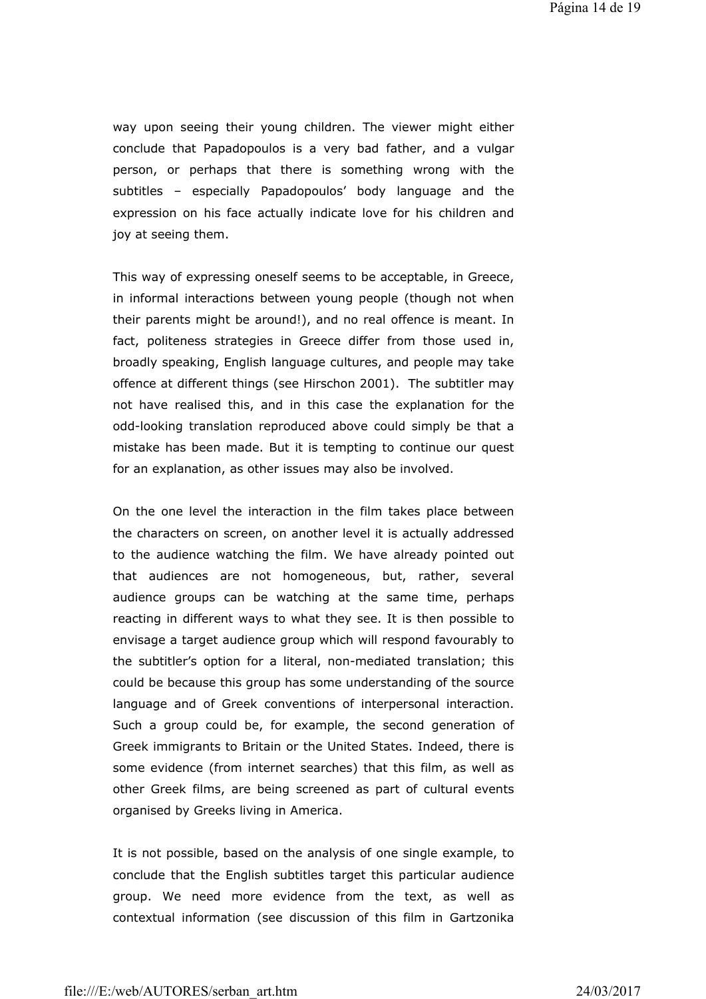way upon seeing their young children. The viewer might either conclude that Papadopoulos is a very bad father, and a vulgar person, or perhaps that there is something wrong with the subtitles – especially Papadopoulos' body language and the expression on his face actually indicate love for his children and joy at seeing them.

This way of expressing oneself seems to be acceptable, in Greece, in informal interactions between young people (though not when their parents might be around!), and no real offence is meant. In fact, politeness strategies in Greece differ from those used in, broadly speaking, English language cultures, and people may take offence at different things (see Hirschon 2001). The subtitler may not have realised this, and in this case the explanation for the odd-looking translation reproduced above could simply be that a mistake has been made. But it is tempting to continue our quest for an explanation, as other issues may also be involved.

On the one level the interaction in the film takes place between the characters on screen, on another level it is actually addressed to the audience watching the film. We have already pointed out that audiences are not homogeneous, but, rather, several audience groups can be watching at the same time, perhaps reacting in different ways to what they see. It is then possible to envisage a target audience group which will respond favourably to the subtitler's option for a literal, non-mediated translation; this could be because this group has some understanding of the source language and of Greek conventions of interpersonal interaction. Such a group could be, for example, the second generation of Greek immigrants to Britain or the United States. Indeed, there is some evidence (from internet searches) that this film, as well as other Greek films, are being screened as part of cultural events organised by Greeks living in America.

It is not possible, based on the analysis of one single example, to conclude that the English subtitles target this particular audience group. We need more evidence from the text, as well as contextual information (see discussion of this film in Gartzonika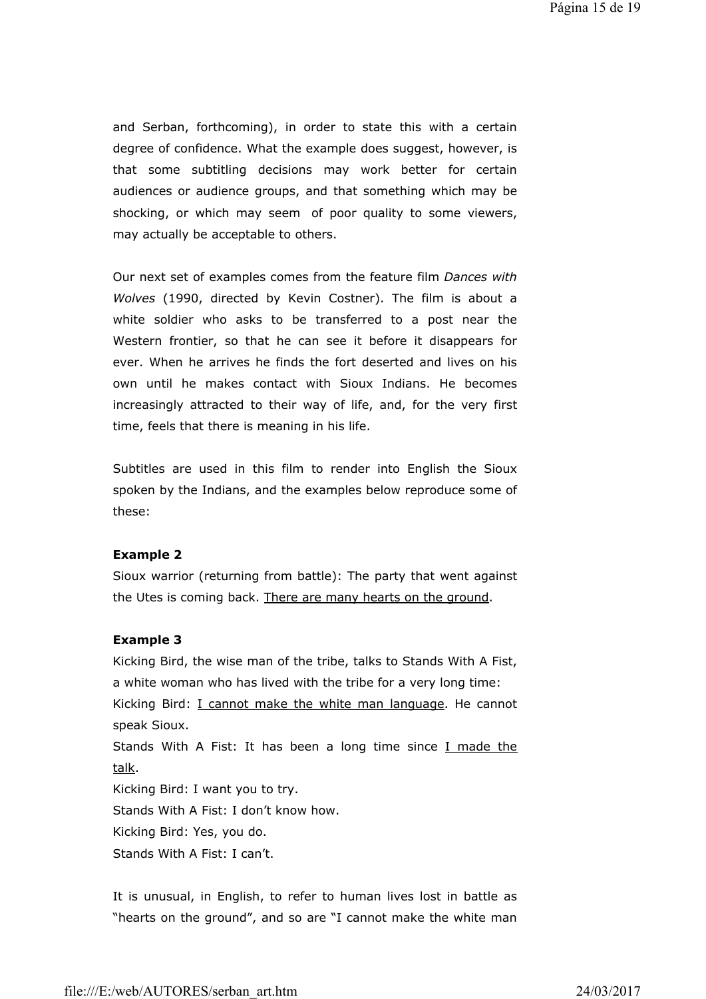and Serban, forthcoming), in order to state this with a certain degree of confidence. What the example does suggest, however, is that some subtitling decisions may work better for certain audiences or audience groups, and that something which may be shocking, or which may seem of poor quality to some viewers, may actually be acceptable to others.

Our next set of examples comes from the feature film *Dances with Wolves* (1990, directed by Kevin Costner). The film is about a white soldier who asks to be transferred to a post near the Western frontier, so that he can see it before it disappears for ever. When he arrives he finds the fort deserted and lives on his own until he makes contact with Sioux Indians. He becomes increasingly attracted to their way of life, and, for the very first time, feels that there is meaning in his life.

Subtitles are used in this film to render into English the Sioux spoken by the Indians, and the examples below reproduce some of these:

#### **Example 2**

Sioux warrior (returning from battle): The party that went against the Utes is coming back. There are many hearts on the ground.

#### **Example 3**

Kicking Bird, the wise man of the tribe, talks to Stands With A Fist, a white woman who has lived with the tribe for a very long time:

Kicking Bird: I cannot make the white man language. He cannot speak Sioux.

Stands With A Fist: It has been a long time since I made the talk.

Kicking Bird: I want you to try.

Stands With A Fist: I don't know how.

Kicking Bird: Yes, you do.

Stands With A Fist: I can't.

It is unusual, in English, to refer to human lives lost in battle as "hearts on the ground", and so are "I cannot make the white man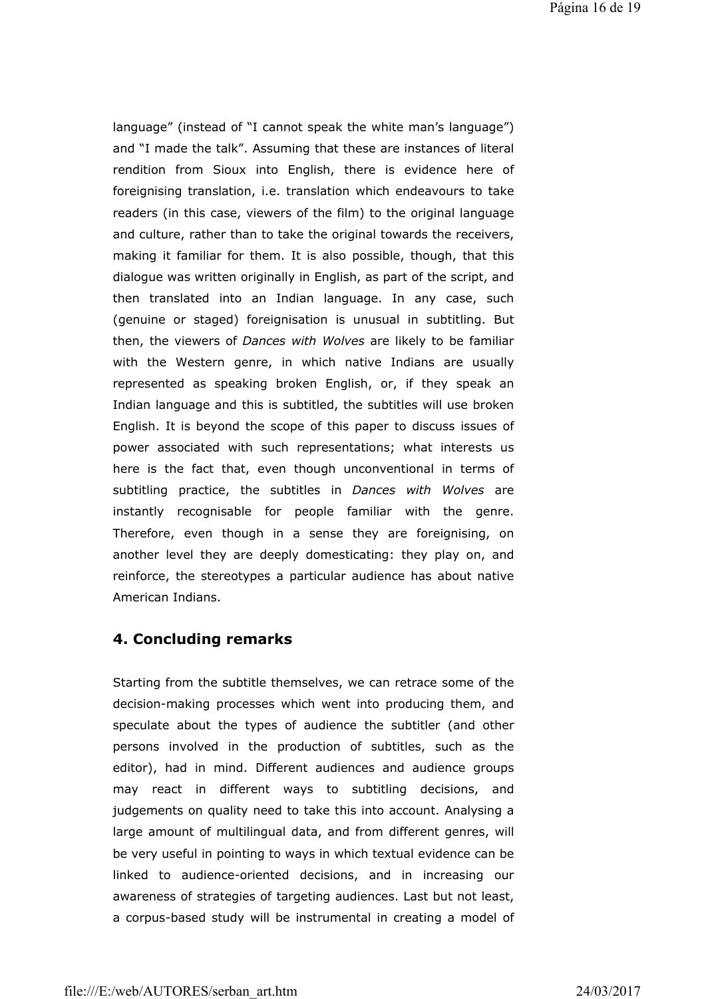language" (instead of "I cannot speak the white man's language") and "I made the talk". Assuming that these are instances of literal rendition from Sioux into English, there is evidence here of foreignising translation, i.e. translation which endeavours to take readers (in this case, viewers of the film) to the original language and culture, rather than to take the original towards the receivers, making it familiar for them. It is also possible, though, that this dialogue was written originally in English, as part of the script, and then translated into an Indian language. In any case, such (genuine or staged) foreignisation is unusual in subtitling. But then, the viewers of *Dances with Wolves* are likely to be familiar with the Western genre, in which native Indians are usually represented as speaking broken English, or, if they speak an Indian language and this is subtitled, the subtitles will use broken English. It is beyond the scope of this paper to discuss issues of power associated with such representations; what interests us here is the fact that, even though unconventional in terms of subtitling practice, the subtitles in *Dances with Wolves* are instantly recognisable for people familiar with the genre. Therefore, even though in a sense they are foreignising, on another level they are deeply domesticating: they play on, and reinforce, the stereotypes a particular audience has about native American Indians.

## **4. Concluding remarks**

Starting from the subtitle themselves, we can retrace some of the decision-making processes which went into producing them, and speculate about the types of audience the subtitler (and other persons involved in the production of subtitles, such as the editor), had in mind. Different audiences and audience groups may react in different ways to subtitling decisions, and judgements on quality need to take this into account. Analysing a large amount of multilingual data, and from different genres, will be very useful in pointing to ways in which textual evidence can be linked to audience-oriented decisions, and in increasing our awareness of strategies of targeting audiences. Last but not least, a corpus-based study will be instrumental in creating a model of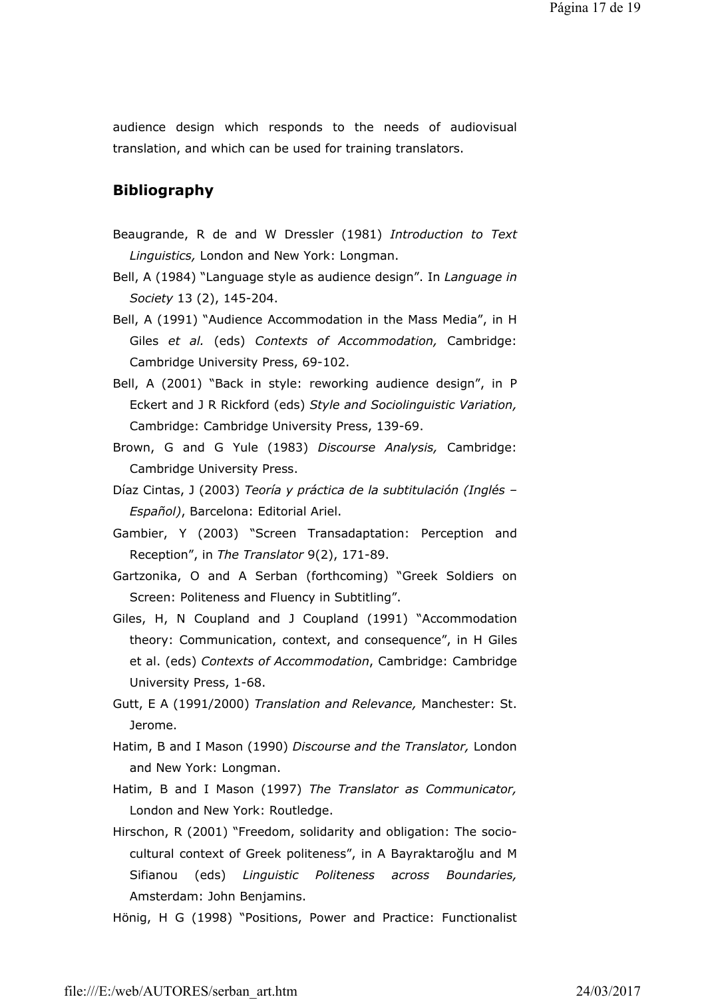audience design which responds to the needs of audiovisual translation, and which can be used for training translators.

# **Bibliography**

- Beaugrande, R de and W Dressler (1981) *Introduction to Text Linguistics,* London and New York: Longman.
- Bell, A (1984) "Language style as audience design". In *Language in Society* 13 (2), 145-204.
- Bell, A (1991) "Audience Accommodation in the Mass Media", in H Giles *et al.* (eds) *Contexts of Accommodation,* Cambridge: Cambridge University Press, 69-102.
- Bell, A (2001) "Back in style: reworking audience design", in P Eckert and J R Rickford (eds) *Style and Sociolinguistic Variation,*  Cambridge: Cambridge University Press, 139-69.
- Brown, G and G Yule (1983) *Discourse Analysis,* Cambridge: Cambridge University Press.
- Díaz Cintas, J (2003) *Teoría y práctica de la subtitulación (Inglés – Español)*, Barcelona: Editorial Ariel.
- Gambier, Y (2003) "Screen Transadaptation: Perception and Reception", in *The Translator* 9(2), 171-89.
- Gartzonika, O and A Serban (forthcoming) "Greek Soldiers on Screen: Politeness and Fluency in Subtitling".
- Giles, H, N Coupland and J Coupland (1991) "Accommodation theory: Communication, context, and consequence", in H Giles et al. (eds) *Contexts of Accommodation*, Cambridge: Cambridge University Press, 1-68.
- Gutt, E A (1991/2000) *Translation and Relevance,* Manchester: St. Jerome.
- Hatim, B and I Mason (1990) *Discourse and the Translator,* London and New York: Longman.
- Hatim, B and I Mason (1997) *The Translator as Communicator,*  London and New York: Routledge.
- Hirschon, R (2001) "Freedom, solidarity and obligation: The sociocultural context of Greek politeness", in A Bayraktaroğlu and M Sifianou (eds) *Linguistic Politeness across Boundaries,*  Amsterdam: John Benjamins.
- Hönig, H G (1998) "Positions, Power and Practice: Functionalist